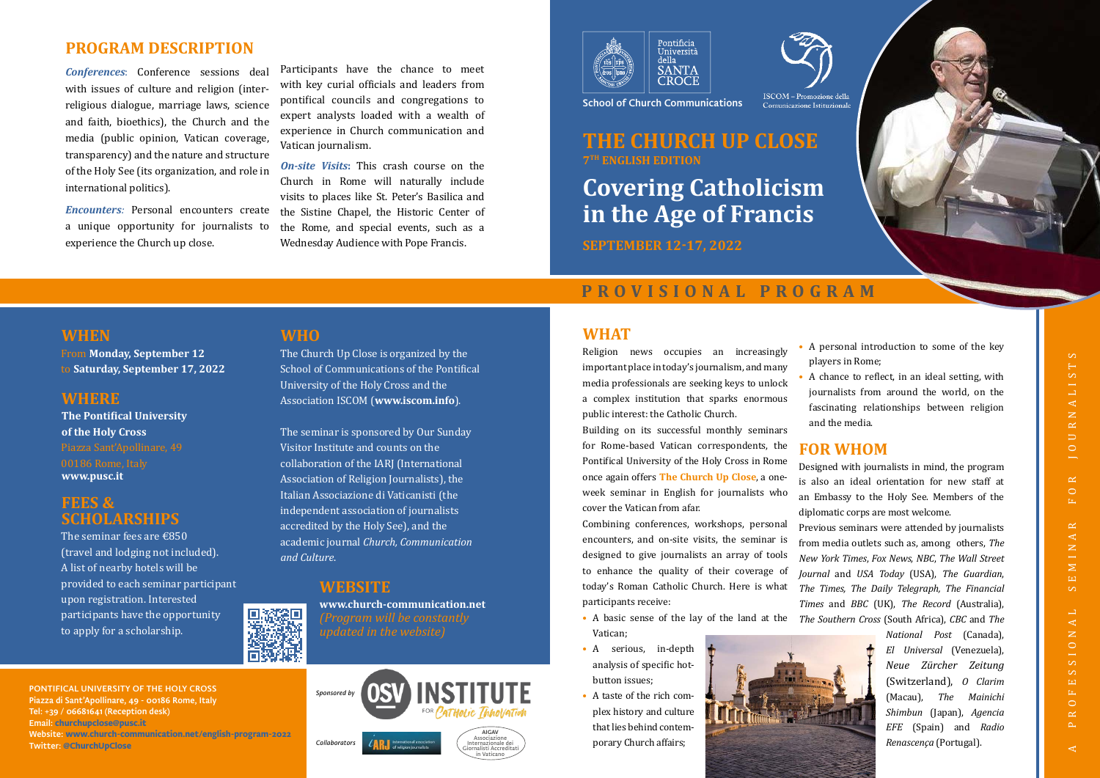**Covering Catholicism in the Age of Francis**

**SEPTEMBER 12-17, 2022**

### **THE CHURCH UP CLOSE 7TH ENGLISH EDITION**

School of Church Communications

### **WHAT**

Religion news occupies an increasingly important place in today's journalism, and many media professionals are seeking keys to unlock a complex institution that sparks enormous public interest: the Catholic Church.

Building on its successful monthly seminars for Rome-based Vatican correspondents, the Pontifical University of the Holy Cross in Rome once again offers **The Church Up Close**, a oneweek seminar in English for journalists who cover the Vatican from afar.

Combining conferences, workshops, personal encounters, and on-site visits, the seminar is designed to give journalists an array of tools to enhance the quality of their coverage of today's Roman Catholic Church. Here is what participants receive:

- A basic sense of the lay of the land at the *The Southern Cross* (South Africa), *CBC* and *The*  Vatican;
- A serious, in-depth analysis of specific hotbutton issues;
- A taste of the rich complex history and culture that lies behind contemporary Church affairs;
- 
- 

• A personal introduction to some of the key players in Rome;

• A chance to reflect, in an ideal setting, with journalists from around the world, on the fascinating relationships between religion and the media.

# **FOR WHOM**

Designed with journalists in mind, the program is also an ideal orientation for new staff at an Embassy to the Holy See. Members of the diplomatic corps are most welcome.

**On-site Visits:** This crash course on the Church in Rome will naturally include visits to places like St. Peter's Basilica and the Sistine Chapel, the Historic Center of the Rome, and special events, such as a Wednesday Audience with Pope Francis.





Previous seminars were attended by journalists from media outlets such as, among others, *The New York Times*, *Fox News*, *NBC*, *The Wall Street Journal* and *USA Today* (USA), *The Guardian*, *The Times, The Daily Telegraph, The Financial Times* and *BBC* (UK), *The Record* (Australia),



The seminar fees are  $\text{\textsterling}850$ (travel and lodging not included). A list of nearby hotels will be provided to each seminar participant upon registration. Interested participants have the opportunity to apply for a scholarship.



*National Post* (Canada), *El Universal* (Venezuela), *Neue Zürcher Zeitung* (Switzerland), *O Clarim* (Macau), *The Mainichi Shimbun* (Japan), *Agencia EFE* (Spain) and *Radio Renascença* (Portugal).

### **PROGRAM DESCRIPTION**



*Conferences*: Conference sessions deal with issues of culture and religion (interreligious dialogue, marriage laws, science and faith, bioethics), the Church and the media (public opinion, Vatican coverage, transparency) and the nature and structure of the Holy See (its organization, and role in international politics).

*Encounters:* Personal encounters create a unique opportunity for journalists to experience the Church up close.

Participants have the chance to meet with key curial officials and leaders from pontifical councils and congregations to expert analysts loaded with a wealth of experience in Church communication and Vatican journalism.

### **WHEN**

From **Monday, September 12** to **Saturday, September 17, 2022**

### **WHERE**

**The Pontifical University of the Holy Cross**  00186 Rome, Italy **www.pusc.it**

### **FEES & SCHOLARSHIPS**

### **WHO**

The Church Up Close is organized by the School of Communications of the Pontifical University of the Holy Cross and the Association ISCOM (**www.iscom.info**).

The seminar is sponsored by Our Sunday Visitor Institute and counts on the collaboration of the IARJ (International Association of Religion Journalists), the Italian Associazione di Vaticanisti (the independent association of journalists accredited by the Holy See), and the academic journal *Church, Communication and Culture*.

### **WEBSITE**

**www.church-communication.net** *(Program will be constantly updated in the website)*

PONTIFICAL UNIVERSITY OF THE HOLY CROSS Piazza di Sant'Apollinare, 49 - 00186 Rome, Italy Tel: +39 / 06681641 (Reception desk) Email: **churchupclose@pusc.it** Website: **www.church-communication.net/english-program-2022**

Twitter: **@ChurchUpClose**

### **PROVISIONAL PROGRAM**

*Collaborators*

Internazionale dei Giornalisti Accreditati in Vaticano